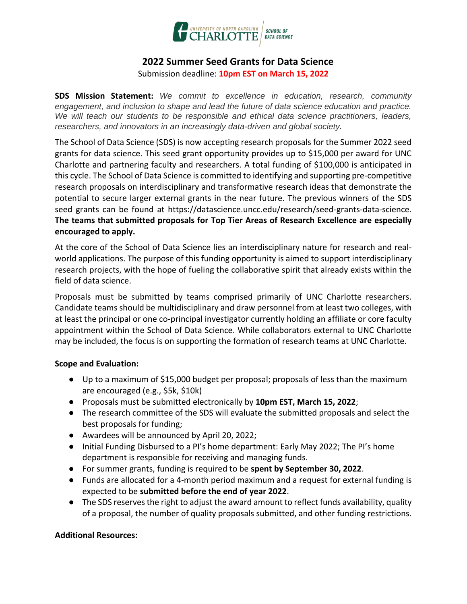

# **2022 Summer Seed Grants for Data Science**

Submission deadline: **10pm EST on March 15, 2022**

**SDS Mission Statement:** *We commit to excellence in education, research, community engagement, and inclusion to shape and lead the future of data science education and practice. We will teach our students to be responsible and ethical data science practitioners, leaders, researchers, and innovators in an increasingly data-driven and global society.*

The School of Data Science (SDS) is now accepting research proposals for the Summer 2022 seed grants for data science. This seed grant opportunity provides up to \$15,000 per award for UNC Charlotte and partnering faculty and researchers. A total funding of \$100,000 is anticipated in this cycle. The School of Data Science is committed to identifying and supporting pre-competitive research proposals on interdisciplinary and transformative research ideas that demonstrate the potential to secure larger external grants in the near future. The previous winners of the SDS seed grants can be found at https://datascience.uncc.edu/research/seed-grants-data-science. **The teams that submitted proposals for Top Tier Areas of Research Excellence are especially encouraged to apply.**

At the core of the School of Data Science lies an interdisciplinary nature for research and realworld applications. The purpose of this funding opportunity is aimed to support interdisciplinary research projects, with the hope of fueling the collaborative spirit that already exists within the field of data science.

Proposals must be submitted by teams comprised primarily of UNC Charlotte researchers. Candidate teams should be multidisciplinary and draw personnel from at least two colleges, with at least the principal or one co-principal investigator currently holding an affiliate or core faculty appointment within the School of Data Science. While collaborators external to UNC Charlotte may be included, the focus is on supporting the formation of research teams at UNC Charlotte.

#### **Scope and Evaluation:**

- Up to a maximum of \$15,000 budget per proposal; proposals of less than the maximum are encouraged (e.g., \$5k, \$10k)
- Proposals must be submitted electronically by **10pm EST, March 15, 2022**;
- The research committee of the SDS will evaluate the submitted proposals and select the best proposals for funding;
- Awardees will be announced by April 20, 2022;
- Initial Funding Disbursed to a PI's home department: Early May 2022; The PI's home department is responsible for receiving and managing funds.
- For summer grants, funding is required to be **spent by September 30, 2022**.
- Funds are allocated for a 4-month period maximum and a request for external funding is expected to be **submitted before the end of year 2022**.
- The SDS reserves the right to adjust the award amount to reflect funds availability, quality of a proposal, the number of quality proposals submitted, and other funding restrictions.

## **Additional Resources:**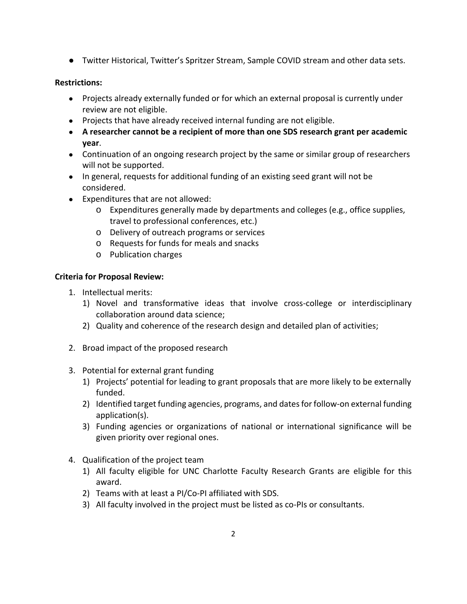● Twitter Historical, Twitter's Spritzer Stream, Sample COVID stream and other data sets.

### **Restrictions:**

- Projects already externally funded or for which an external proposal is currently under review are not eligible.
- Projects that have already received internal funding are not eligible.
- **A researcher cannot be a recipient of more than one SDS research grant per academic year**.
- Continuation of an ongoing research project by the same or similar group of researchers will not be supported.
- In general, requests for additional funding of an existing seed grant will not be considered.
- Expenditures that are not allowed:
	- o Expenditures generally made by departments and colleges (e.g., office supplies, travel to professional conferences, etc.)
	- o Delivery of outreach programs or services
	- o Requests for funds for meals and snacks
	- o Publication charges

## **Criteria for Proposal Review:**

- 1. Intellectual merits:
	- 1) Novel and transformative ideas that involve cross-college or interdisciplinary collaboration around data science;
	- 2) Quality and coherence of the research design and detailed plan of activities;
- 2. Broad impact of the proposed research
- 3. Potential for external grant funding
	- 1) Projects' potential for leading to grant proposals that are more likely to be externally funded.
	- 2) Identified target funding agencies, programs, and dates for follow-on external funding application(s).
	- 3) Funding agencies or organizations of national or international significance will be given priority over regional ones.
- 4. Qualification of the project team
	- 1) All faculty eligible for UNC Charlotte Faculty Research Grants are eligible for this award.
	- 2) Teams with at least a PI/Co-PI affiliated with SDS.
	- 3) All faculty involved in the project must be listed as co-PIs or consultants.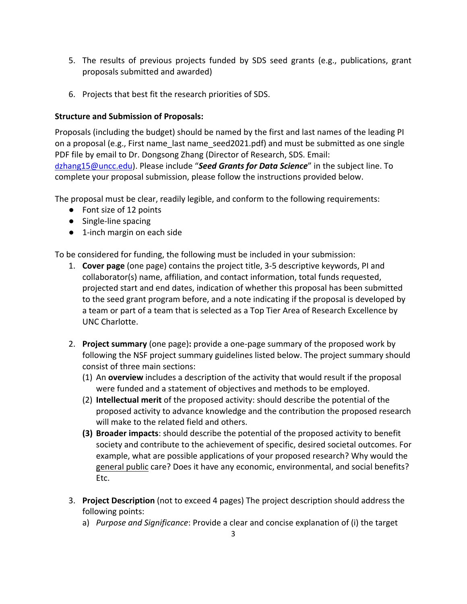- 5. The results of previous projects funded by SDS seed grants (e.g., publications, grant proposals submitted and awarded)
- 6. Projects that best fit the research priorities of SDS.

## **Structure and Submission of Proposals:**

Proposals (including the budget) should be named by the first and last names of the leading PI on a proposal (e.g., First name\_last name\_seed2021.pdf) and must be submitted as one single PDF file by email to Dr. Dongsong Zhang (Director of Research, SDS. Email: d[zhang15@uncc.edu](mailto:dzhang15@uncc.edu)). Please include "*Seed Grants for Data Science*" in the subject line. To complete your proposal submission, please follow the instructions provided below.

The proposal must be clear, readily legible, and conform to the following requirements:

- Font size of 12 points
- Single-line spacing
- 1-inch margin on each side

To be considered for funding, the following must be included in your submission:

- 1. **Cover page** (one page) contains the project title, 3-5 descriptive keywords, PI and collaborator(s) name, affiliation, and contact information, total funds requested, projected start and end dates, indication of whether this proposal has been submitted to the seed grant program before, and a note indicating if the proposal is developed by a team or part of a team that is selected as a Top Tier Area of Research Excellence by UNC Charlotte.
- 2. **Project summary** (one page)**:** provide a one-page summary of the proposed work by following the NSF project summary guidelines listed below. The project summary should consist of three main sections:
	- (1) An **overview** includes a description of the activity that would result if the proposal were funded and a statement of objectives and methods to be employed.
	- (2) **Intellectual merit** of the proposed activity: should describe the potential of the proposed activity to advance knowledge and the contribution the proposed research will make to the related field and others.
	- **(3) Broader impacts**: should describe the potential of the proposed activity to benefit society and contribute to the achievement of specific, desired societal outcomes. For example, what are possible applications of your proposed research? Why would the general public care? Does it have any economic, environmental, and social benefits? Etc.
- 3. **Project Description** (not to exceed 4 pages) The project description should address the following points:
	- a) *Purpose and Significance*: Provide a clear and concise explanation of (i) the target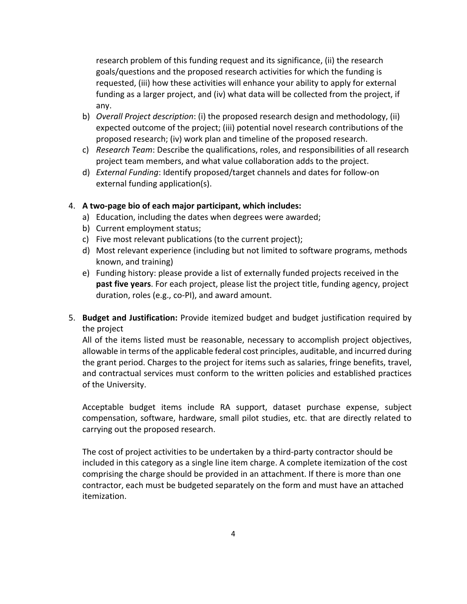research problem of this funding request and its significance, (ii) the research goals/questions and the proposed research activities for which the funding is requested, (iii) how these activities will enhance your ability to apply for external funding as a larger project, and (iv) what data will be collected from the project, if any.

- b) *Overall Project description*: (i) the proposed research design and methodology, (ii) expected outcome of the project; (iii) potential novel research contributions of the proposed research; (iv) work plan and timeline of the proposed research.
- c) *Research Team*: Describe the qualifications, roles, and responsibilities of all research project team members, and what value collaboration adds to the project.
- d) *External Funding*: Identify proposed/target channels and dates for follow-on external funding application(s).

#### 4. **A two-page bio of each major participant, which includes:**

- a) Education, including the dates when degrees were awarded;
- b) Current employment status;
- c) Five most relevant publications (to the current project);
- d) Most relevant experience (including but not limited to software programs, methods known, and training)
- e) Funding history: please provide a list of externally funded projects received in the **past five years**. For each project, please list the project title, funding agency, project duration, roles (e.g., co-PI), and award amount.
- 5. **Budget and Justification:** Provide itemized budget and budget justification required by the project

All of the items listed must be reasonable, necessary to accomplish project objectives, allowable in terms of the applicable federal cost principles, auditable, and incurred during the grant period. Charges to the project for items such as salaries, fringe benefits, travel, and contractual services must conform to the written policies and established practices of the University.

Acceptable budget items include RA support, dataset purchase expense, subject compensation, software, hardware, small pilot studies, etc. that are directly related to carrying out the proposed research.

The cost of project activities to be undertaken by a third-party contractor should be included in this category as a single line item charge. A complete itemization of the cost comprising the charge should be provided in an attachment. If there is more than one contractor, each must be budgeted separately on the form and must have an attached itemization.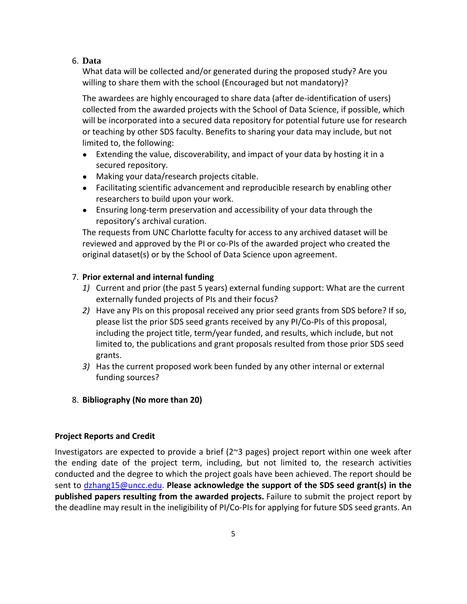#### 6. **Data**

What data will be collected and/or generated during the proposed study? Are you willing to share them with the school (Encouraged but not mandatory)?

The awardees are highly encouraged to share data (after de-identification of users) collected from the awarded projects with the School of Data Science, if possible, which will be incorporated into a secured data repository for potential future use for research or teaching by other SDS faculty. Benefits to sharing your data may include, but not limited to, the following:

- Extending the value, discoverability, and impact of your data by hosting it in a secured repository.
- Making your data/research projects citable.
- Facilitating scientific advancement and reproducible research by enabling other researchers to build upon your work.
- Ensuring long-term preservation and accessibility of your data through the repository's archival curation.

The requests from UNC Charlotte faculty for access to any archived dataset will be reviewed and approved by the PI or co-PIs of the awarded project who created the original dataset(s) or by the School of Data Science upon agreement.

### 7. **Prior external and internal funding**

- *1)* Current and prior (the past 5 years) external funding support: What are the current externally funded projects of PIs and their focus?
- *2)* Have any PIs on this proposal received any prior seed grants from SDS before? If so, please list the prior SDS seed grants received by any PI/Co-PIs of this proposal, including the project title, term/year funded, and results, which include, but not limited to, the publications and grant proposals resulted from those prior SDS seed grants.
- *3)* Has the current proposed work been funded by any other internal or external funding sources?
- 8. **Bibliography (No more than 20)**

#### **Project Reports and Credit**

Investigators are expected to provide a brief  $(2<sup>\sim</sup>3$  pages) project report within one week after the ending date of the project term, including, but not limited to, the research activities conducted and the degree to which the project goals have been achieved. The report should be sent to [dzhang15@uncc.edu.](mailto:dzhang15@uncc.edu) **Please acknowledge the support of the SDS seed grant(s) in the published papers resulting from the awarded projects.** Failure to submit the project report by the deadline may result in the ineligibility of PI/Co-PIs for applying for future SDS seed grants. An